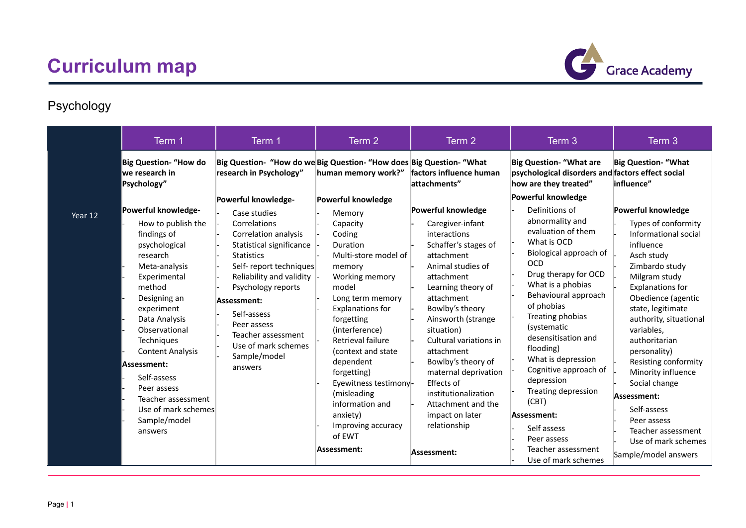

## Psychology

|         | Term 1                                                                                                                                                                                                                                                                                                                              | Term 1                                                                                                                                                                                                                                                                                                                                            | Term 2                                                                                                                                                                                                                                                                                                                                        | Term 2                                                                                                                                                                                                                                                                                                                                                                       | Term 3                                                                                                                                                                                                                                                                                                                                                                               | Term 3                                                                                                                                                                                                                                                                                                                                                               |
|---------|-------------------------------------------------------------------------------------------------------------------------------------------------------------------------------------------------------------------------------------------------------------------------------------------------------------------------------------|---------------------------------------------------------------------------------------------------------------------------------------------------------------------------------------------------------------------------------------------------------------------------------------------------------------------------------------------------|-----------------------------------------------------------------------------------------------------------------------------------------------------------------------------------------------------------------------------------------------------------------------------------------------------------------------------------------------|------------------------------------------------------------------------------------------------------------------------------------------------------------------------------------------------------------------------------------------------------------------------------------------------------------------------------------------------------------------------------|--------------------------------------------------------------------------------------------------------------------------------------------------------------------------------------------------------------------------------------------------------------------------------------------------------------------------------------------------------------------------------------|----------------------------------------------------------------------------------------------------------------------------------------------------------------------------------------------------------------------------------------------------------------------------------------------------------------------------------------------------------------------|
|         | Big Question- "How do<br>we research in<br>Psychology"                                                                                                                                                                                                                                                                              | Big Question- "How do we Big Question- "How does Big Question- "What<br>research in Psychology"                                                                                                                                                                                                                                                   | human memory work?"                                                                                                                                                                                                                                                                                                                           | factors influence human<br>attachments"                                                                                                                                                                                                                                                                                                                                      | <b>Big Question- "What are</b><br>psychological disorders and factors effect social<br>how are they treated"                                                                                                                                                                                                                                                                         | <b>Big Question- "What</b><br>influence"                                                                                                                                                                                                                                                                                                                             |
| Year 12 | Powerful knowledge-<br>How to publish the<br>findings of<br>psychological<br>research<br>Meta-analysis<br>Experimental<br>method<br>Designing an<br>experiment<br>Data Analysis<br>Observational<br>Techniques<br><b>Content Analysis</b><br>Assessment:<br>Self-assess<br>Peer assess<br>Teacher assessment<br>Use of mark schemes | Powerful knowledge-<br>Case studies<br>Correlations<br>Correlation analysis<br>Statistical significance<br><b>Statistics</b><br>Self-report techniques<br>Reliability and validity $\vert \cdot \vert$<br>Psychology reports<br>Assessment:<br>Self-assess<br>Peer assess<br>Teacher assessment<br>Use of mark schemes<br>Sample/model<br>answers | Powerful knowledge<br>Memory<br>Capacity<br>Coding<br>Duration<br>Multi-store model of<br>memory<br>Working memory<br>model<br>Long term memory<br><b>Explanations for</b><br>forgetting<br>(interference)<br>Retrieval failure<br>(context and state)<br>dependent<br>forgetting)<br>Eyewitness testimony-<br>(misleading<br>information and | Powerful knowledge<br>Caregiver-infant<br>interactions<br>Schaffer's stages of<br>attachment<br>Animal studies of<br>attachment<br>Learning theory of<br>attachment<br>Bowlby's theory<br>Ainsworth (strange<br>situation)<br>Cultural variations in<br>attachment<br>Bowlby's theory of<br>maternal deprivation<br>Effects of<br>institutionalization<br>Attachment and the | Powerful knowledge<br>Definitions of<br>abnormality and<br>evaluation of them<br>What is OCD<br>Biological approach of<br>OCD<br>Drug therapy for OCD<br>What is a phobias<br>Behavioural approach<br>of phobias<br>Treating phobias<br>(systematic<br>desensitisation and<br>flooding)<br>What is depression<br>Cognitive approach of<br>depression<br>Treating depression<br>(CBT) | Powerful knowledge<br>Types of conformity<br>Informational social<br>influence<br>Asch study<br>Zimbardo study<br>Milgram study<br>Explanations for<br>Obedience (agentic<br>state, legitimate<br>authority, situational<br>variables.<br>authoritarian<br>personality)<br>Resisting conformity<br>Minority influence<br>Social change<br>Assessment:<br>Self-assess |
|         | Sample/model<br>answers                                                                                                                                                                                                                                                                                                             |                                                                                                                                                                                                                                                                                                                                                   | anxiety)<br>Improving accuracy<br>of EWT<br>Assessment:                                                                                                                                                                                                                                                                                       | impact on later<br>relationship<br>Assessment:                                                                                                                                                                                                                                                                                                                               | Assessment:<br>Self assess<br>Peer assess<br>Teacher assessment<br>Use of mark schemes                                                                                                                                                                                                                                                                                               | Peer assess<br>Teacher assessment<br>Use of mark schemes<br>Sample/model answers                                                                                                                                                                                                                                                                                     |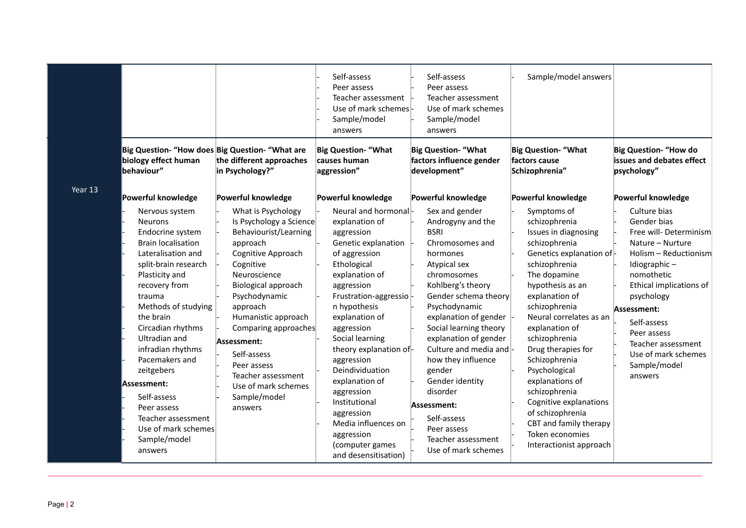|         | Big Question- "How does Big Question- "What are<br>biology effect human<br>behaviour"                                                                                                                                                                                                                                                                                                                                             | the different approaches<br>in Psychology?"                                                                                                                                                                                                                                                                                                                   | Self-assess<br>Peer assess<br>Teacher assessment<br>Use of mark schemes-<br>Sample/model<br>answers<br><b>Big Question- "What</b><br>causes human<br>aggression"                                                                                                                                                                                                                                                                                   | Self-assess<br>Peer assess<br>Teacher assessment<br>Use of mark schemes<br>Sample/model<br>answers<br><b>Big Question- "What</b><br>factors influence gender<br>development"                                                                                                                                                                                                                                                                   | Sample/model answers<br><b>Big Question- "What</b><br>factors cause<br>Schizophrenia"                                                                                                                                                                                                                                                                                                                                                                                     | <b>Big Question- "How do</b><br>issues and debates effect<br>psychology"                                                                                                                                                                                                                      |
|---------|-----------------------------------------------------------------------------------------------------------------------------------------------------------------------------------------------------------------------------------------------------------------------------------------------------------------------------------------------------------------------------------------------------------------------------------|---------------------------------------------------------------------------------------------------------------------------------------------------------------------------------------------------------------------------------------------------------------------------------------------------------------------------------------------------------------|----------------------------------------------------------------------------------------------------------------------------------------------------------------------------------------------------------------------------------------------------------------------------------------------------------------------------------------------------------------------------------------------------------------------------------------------------|------------------------------------------------------------------------------------------------------------------------------------------------------------------------------------------------------------------------------------------------------------------------------------------------------------------------------------------------------------------------------------------------------------------------------------------------|---------------------------------------------------------------------------------------------------------------------------------------------------------------------------------------------------------------------------------------------------------------------------------------------------------------------------------------------------------------------------------------------------------------------------------------------------------------------------|-----------------------------------------------------------------------------------------------------------------------------------------------------------------------------------------------------------------------------------------------------------------------------------------------|
| Year 13 | Powerful knowledge                                                                                                                                                                                                                                                                                                                                                                                                                | Powerful knowledge                                                                                                                                                                                                                                                                                                                                            | Powerful knowledge                                                                                                                                                                                                                                                                                                                                                                                                                                 | Powerful knowledge                                                                                                                                                                                                                                                                                                                                                                                                                             | Powerful knowledge                                                                                                                                                                                                                                                                                                                                                                                                                                                        | Powerful knowledge                                                                                                                                                                                                                                                                            |
|         | Nervous system<br><b>Neurons</b><br>Endocrine system<br><b>Brain localisation</b><br>Lateralisation and<br>split-brain research<br>Plasticity and<br>recovery from<br>trauma<br>Methods of studying<br>the brain<br>Circadian rhythms<br>Ultradian and<br>infradian rhythms<br>Pacemakers and<br>zeitgebers<br> Assessment:<br>Self-assess<br>Peer assess<br>Teacher assessment<br>Use of mark schemes<br>Sample/model<br>answers | What is Psychology<br>Is Psychology a Science<br>Behaviourist/Learning<br>approach<br>Cognitive Approach<br>Cognitive<br>Neuroscience<br>Biological approach<br>Psychodynamic<br>approach<br>Humanistic approach<br>Comparing approaches<br>Assessment:<br>Self-assess<br>Peer assess<br>Teacher assessment<br>Use of mark schemes<br>Sample/model<br>answers | Neural and hormonal-<br>explanation of<br>aggression<br>Genetic explanation<br>of aggression<br>Ethological<br>explanation of<br>aggression<br>Frustration-aggressio-<br>n hypothesis<br>explanation of<br>aggression<br>Social learning<br>theory explanation of-<br>aggression<br>Deindividuation<br>explanation of<br>aggression<br>Institutional<br>aggression<br>Media influences on<br>aggression<br>(computer games<br>and desensitisation) | Sex and gender<br>Androgyny and the<br><b>BSRI</b><br>Chromosomes and<br>hormones<br>Atypical sex<br>chromosomes<br>Kohlberg's theory<br>Gender schema theory<br>Psychodynamic<br>explanation of gender<br>Social learning theory<br>explanation of gender<br>Culture and media and -<br>how they influence<br>gender<br>Gender identity<br>disorder<br>Assessment:<br>Self-assess<br>Peer assess<br>Teacher assessment<br>Use of mark schemes | Symptoms of<br>schizophrenia<br>Issues in diagnosing<br>schizophrenia<br>Genetics explanation of-<br>schizophrenia<br>The dopamine<br>hypothesis as an<br>explanation of<br>schizophrenia<br>Neural correlates as an<br>explanation of<br>schizophrenia<br>Drug therapies for<br>Schizophrenia<br>Psychological<br>explanations of<br>schizophrenia<br>Cognitive explanations<br>of schizophrenia<br>CBT and family therapy<br>Token economies<br>Interactionist approach | Culture bias<br>Gender bias<br>Free will-Determinism<br>Nature - Nurture<br>Holism - Reductionism<br>Idiographic-<br>nomothetic<br>Ethical implications of<br>psychology<br>Assessment:<br>Self-assess<br>Peer assess<br>Teacher assessment<br>Use of mark schemes<br>Sample/model<br>answers |